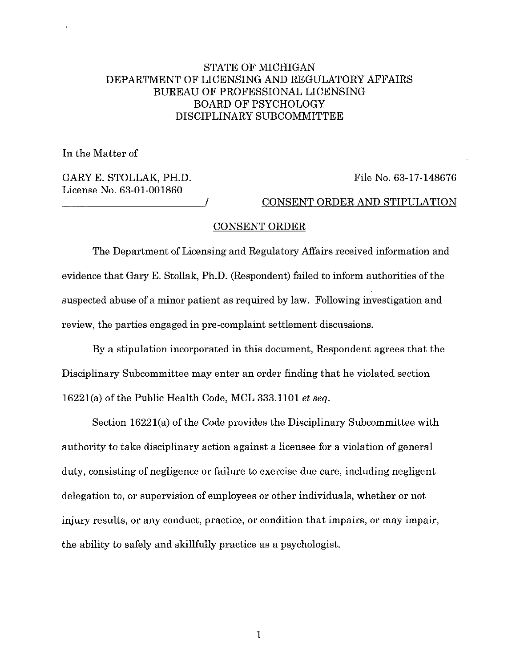## STATE OF MICHIGAN DEPARTMENT OF LICENSING AND REGULATORY AFFAIRS BUREAU OF PROFESSIONAL LICENSING BOARD OF PSYCHOLOGY DISCIPLINARY SUBCOMMITTEE

In the Matter of

GARY E. STOLLAK, PH.D. License No. 63-01-001860

File No. 63-17-148676

\_\_\_\_\_\_\_\_\_\_\_\_\_\_\_\_\_\_\_\_\_ / CONSENT ORDER AND STIPULATION

## CONSENT ORDER

The Department of Licensing and Regulatory Mfairs received information and evidence that Gary E. Stollak, Ph.D. (Respondent) failed to inform authorities of the suspected abuse of a minor patient as required by law. Following investigation and review, the parties engaged in pre-complaint settlement discussions.

By a stipulation incorporated in this document, Respondent agrees that the Disciplinary Subcommittee may enter an order finding that he violated section 16221(a) of the Public Health Code, MCL 333.1101 *et seq.* 

Section 16221(a) of the Code provides the Disciplinary Subcommittee with authority to take disciplinary action against a licensee for a violation of general duty, consisting of negligence or failure to exercise due care, including negligent delegation to, or supervision of employees or other individuals, whether or not injury results, or any conduct, practice, or condition that impairs, or may impair, the ability to safely and skillfully practice as a psychologist.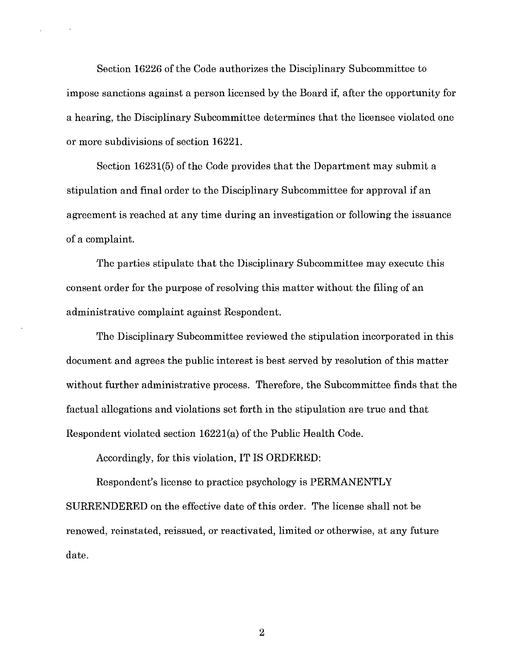Section 16226 of the Code authorizes the Disciplinary Subcommittee to impose sanctions against a person licensed by the Board if, after the opportunity for a hearing, the Disciplinary Subcommittee determines that the licensee violated one or more subdivisions of section 16221.

Section 16231(5) of the Code provides that the Department may submit a stipulation and final order to the Disciplinary Subcommittee for approval if an agreement is reached at any time during an investigation or following the issuance of a complaint.

The parties stipulate that the Disciplinary Subcommittee may execute this consent order for the purpose of resolving this matter without the filing of an administrative complaint against Respondent.

The Disciplinary Subcommittee reviewed the stipulation incorporated in this document and agrees the public interest is best served by resolution of this matter without further administrative process. Therefore, the Subcommittee finds that the factual allegations and violations set forth in the stipulation are true and that Respondent violated section 16221(a) of the Public Health Code.

Accordingly, for this violation, IT IS ORDERED:

Respondent's license to practice psychology is PERMANENTLY SURRENDERED on the effective date of this order. The license shall not be renewed, reinstated, reissued, or reactivated, limited or otherwise, at any future date.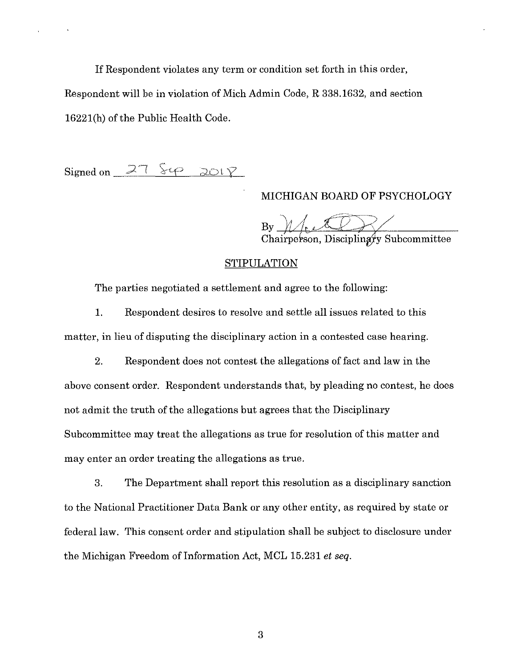If Respondent violates any term or condition set forth in this order, Respondent will be in violation of Mich Admin Code, R 338.1632, and section 16221(h) of the Public Health Code.

 $Signed on$   $27$   $849$   $2018$ 

## MICHIGAN BOARD OF PSYCHOLOGY

 $\mathcal{B} \mathcal{Y}$  -  $\mathcal{U}/\mathcal{U}$  and  $\mathcal{Y}$ Chairperson, Discipling

## **STIPULATION**

The parties negotiated a settlement and agree to the following:

1. Respondent desires to resolve and settle all issues related to this matter, in lieu of disputing the disciplinary action in a contested case hearing.

2. Respondent does not contest the allegations of fact and law in the above consent order. Respondent understands that, by pleading no contest, he does not admit the truth of the allegations but agrees that the Disciplinary Subcommittee may treat the allegations as true for resolution of this matter and may enter an order treating the allegations as true.

3. The Department shall report this resolution as a disciplinary sanction to the National Practitioner Data Bank or any other entity, as required by state or federal law. This consent order and stipulation shall be subject to disclosure under the Michigan Freedom of Information Act, MCL 15.231 *et seq.*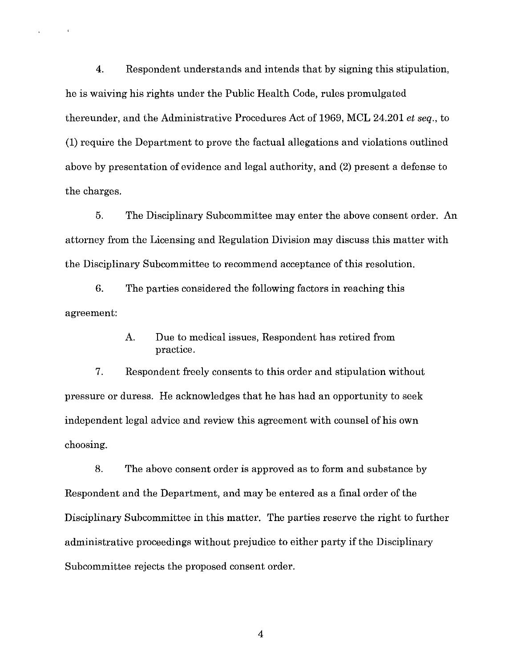4. Respondent understands and intends that by signing this stipulation, he is waiving his rights under the Public Health Code, rules promulgated thereunder, and the Administrative Procedures Act of 1969, MCL 24.201 *et seq.,* to (1) require the Department to prove the factual allegations and violations outlined above by presentation of evidence and legal authority, and (2) present a defense to the charges.

5. The Disciplinary Subcommittee may enter the above consent order. An attorney from the Licensing and Regulation Division may discuss this matter with the Disciplinary Subcommittee to recommend acceptance of this resolution.

6. The parties considered the following factors in reaching this agreement:

> A. Due to medical issues, Respondent has retired from practice.

7. Respondent freely consents to this order and stipulation without pressure or duress. He acknowledges that he has had an opportunity to seek independent legal advice and review this agreement with counsel of his own choosing.

8. The above consent order is approved as to form and substance by Respondent and the Department, and may be entered as a final order of the Disciplinary Subcommittee in this matter. The parties reserve the right to further administrative proceedings without prejudice to either party if the Disciplinary Subcommittee rejects the proposed consent order.